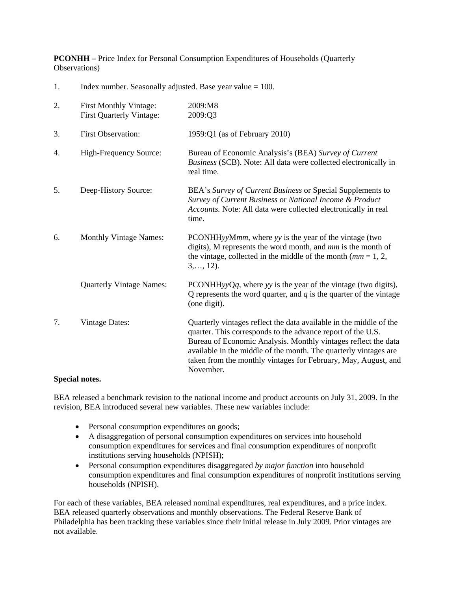**PCONHH –** Price Index for Personal Consumption Expenditures of Households (Quarterly Observations)

1. Index number. Seasonally adjusted. Base year value = 100.

| 2. | <b>First Monthly Vintage:</b><br><b>First Quarterly Vintage:</b> | 2009:M8<br>2009:Q3                                                                                                                                                                                                                                                                                                                                     |
|----|------------------------------------------------------------------|--------------------------------------------------------------------------------------------------------------------------------------------------------------------------------------------------------------------------------------------------------------------------------------------------------------------------------------------------------|
| 3. | <b>First Observation:</b>                                        | 1959: $Q1$ (as of February 2010)                                                                                                                                                                                                                                                                                                                       |
| 4. | High-Frequency Source:                                           | Bureau of Economic Analysis's (BEA) Survey of Current<br>Business (SCB). Note: All data were collected electronically in<br>real time.                                                                                                                                                                                                                 |
| 5. | Deep-History Source:                                             | BEA's Survey of Current Business or Special Supplements to<br>Survey of Current Business or National Income & Product<br>Accounts. Note: All data were collected electronically in real<br>time.                                                                                                                                                       |
| 6. | <b>Monthly Vintage Names:</b>                                    | PCONHHyyMmm, where yy is the year of the vintage (two<br>digits), M represents the word month, and mm is the month of<br>the vintage, collected in the middle of the month $(mm = 1, 2, )$<br>$3, \ldots, 12$ .                                                                                                                                        |
|    | <b>Quarterly Vintage Names:</b>                                  | PCONHHyyQq, where $yy$ is the year of the vintage (two digits),<br>Q represents the word quarter, and $q$ is the quarter of the vintage<br>(one digit).                                                                                                                                                                                                |
| 7. | <b>Vintage Dates:</b>                                            | Quarterly vintages reflect the data available in the middle of the<br>quarter. This corresponds to the advance report of the U.S.<br>Bureau of Economic Analysis. Monthly vintages reflect the data<br>available in the middle of the month. The quarterly vintages are<br>taken from the monthly vintages for February, May, August, and<br>November. |

# **Special notes.**

BEA released a benchmark revision to the national income and product accounts on July 31, 2009. In the revision, BEA introduced several new variables. These new variables include:

- Personal consumption expenditures on goods;
- A disaggregation of personal consumption expenditures on services into household consumption expenditures for services and final consumption expenditures of nonprofit institutions serving households (NPISH);
- Personal consumption expenditures disaggregated *by major function* into household consumption expenditures and final consumption expenditures of nonprofit institutions serving households (NPISH).

For each of these variables, BEA released nominal expenditures, real expenditures, and a price index. BEA released quarterly observations and monthly observations. The Federal Reserve Bank of Philadelphia has been tracking these variables since their initial release in July 2009. Prior vintages are not available.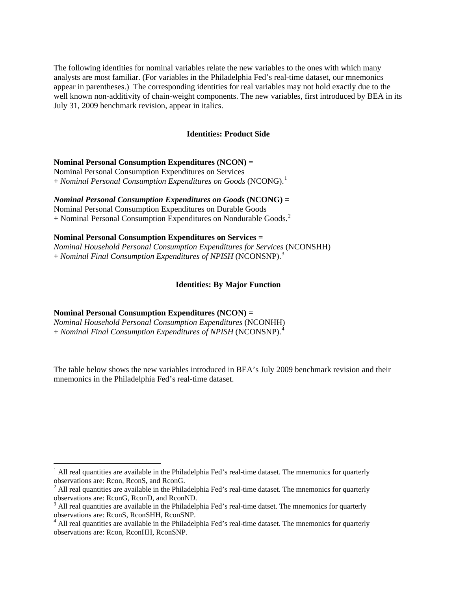The following identities for nominal variables relate the new variables to the ones with which many analysts are most familiar. (For variables in the Philadelphia Fed's real-time dataset, our mnemonics appear in parentheses.) The corresponding identities for real variables may not hold exactly due to the well known non-additivity of chain-weight components. The new variables, first introduced by BEA in its July 31, 2009 benchmark revision, appear in italics.

### **Identities: Product Side**

### **Nominal Personal Consumption Expenditures (NCON) =**

Nominal Personal Consumption Expenditures on Services + *Nominal Personal Consumption Expenditures on Goods* (NCONG).[1](#page-1-0)

*Nominal Personal Consumption Expenditures on Goods* **(NCONG) =**

Nominal Personal Consumption Expenditures on Durable Goods  $+$  Nominal Personal Consumption Expenditures on Nondurable Goods.<sup>[2](#page-1-1)</sup>

### **Nominal Personal Consumption Expenditures on Services =**

*Nominal Household Personal Consumption Expenditures for Services* (NCONSHH) + *Nominal Final Consumption Expenditures of NPISH* (NCONSNP).[3](#page-1-2)

## **Identities: By Major Function**

## **Nominal Personal Consumption Expenditures (NCON) =**

 $\overline{a}$ 

*Nominal Household Personal Consumption Expenditures* (NCONHH) + *Nominal Final Consumption Expenditures of NPISH* (NCONSNP).[4](#page-1-3)

The table below shows the new variables introduced in BEA's July 2009 benchmark revision and their mnemonics in the Philadelphia Fed's real-time dataset.

<span id="page-1-0"></span><sup>&</sup>lt;sup>1</sup> All real quantities are available in the Philadelphia Fed's real-time dataset. The mnemonics for quarterly observations are: Rcon, RconS, and RconG.

<span id="page-1-1"></span> $2$  All real quantities are available in the Philadelphia Fed's real-time dataset. The mnemonics for quarterly observations are: RconG, RconD, and RconND.

<span id="page-1-2"></span> $3$  All real quantities are available in the Philadelphia Fed's real-time datset. The mnemonics for quarterly observations are: RconS, RconSHH, RconSNP.

<span id="page-1-3"></span><sup>&</sup>lt;sup>4</sup> All real quantities are available in the Philadelphia Fed's real-time dataset. The mnemonics for quarterly observations are: Rcon, RconHH, RconSNP.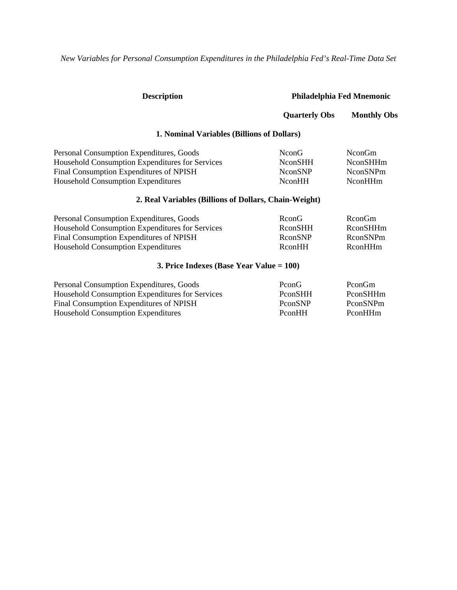*New Variables for Personal Consumption Expenditures in the Philadelphia Fed's Real-Time Data Set* 

| <b>Description</b>                                    | Philadelphia Fed Mnemonic |                    |
|-------------------------------------------------------|---------------------------|--------------------|
|                                                       | <b>Quarterly Obs</b>      | <b>Monthly Obs</b> |
| 1. Nominal Variables (Billions of Dollars)            |                           |                    |
| Personal Consumption Expenditures, Goods              | NconG                     | NconGm             |
| Household Consumption Expenditures for Services       | <b>NconSHH</b>            | NconSHHm           |
| <b>Final Consumption Expenditures of NPISH</b>        | <b>NconSNP</b>            | <b>NconSNPm</b>    |
| <b>Household Consumption Expenditures</b>             | NconHH                    | NconHHm            |
| 2. Real Variables (Billions of Dollars, Chain-Weight) |                           |                    |
| Personal Consumption Expenditures, Goods              | RconG                     | RconGm             |
| Household Consumption Expenditures for Services       | RconSHH                   | RconSHHm           |
| <b>Final Consumption Expenditures of NPISH</b>        | RconSNP                   | RconSNPm           |
| <b>Household Consumption Expenditures</b>             | RconHH                    | RconHHm            |
| 3. Price Indexes (Base Year Value $= 100$ )           |                           |                    |
| Personal Consumption Expenditures, Goods              | PconG                     | PconGm             |
| Household Consumption Expenditures for Services       | PconSHH                   | PconSHHm           |
| <b>Final Consumption Expenditures of NPISH</b>        | PconSNP                   | PconSNPm           |
| <b>Household Consumption Expenditures</b>             | PconHH                    | PconHHm            |